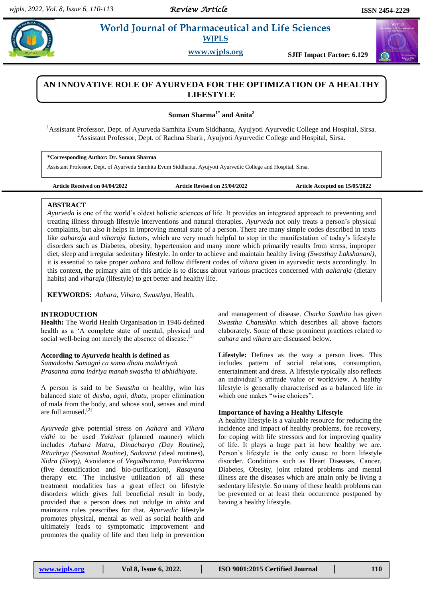# **Example 3** *E* **World Journal of Pharmaceutical and Life Sciences WJPLS**

**www.wjpls.org SJIF Impact Factor: 6.129**

# **AN INNOVATIVE ROLE OF AYURVEDA FOR THE OPTIMIZATION OF A HEALTHY LIFESTYLE**

**Suman Sharma1\* and Anita<sup>2</sup>**

<sup>1</sup>Assistant Professor, Dept. of Ayurveda Samhita Evum Siddhanta, Ayujyoti Ayurvedic College and Hospital, Sirsa. <sup>2</sup>Assistant Professor, Dept. of Rachna Sharir, Ayujyoti Ayurvedic College and Hospital, Sirsa.

**\*Corresponding Author: Dr. Suman Sharma**

Assistant Professor, Dept. of Ayurveda Samhita Evum Siddhanta, Ayujyoti Ayurvedic College and Hospital, Sirsa.

**Article Received on 04/04/2022 Article Revised on 25/04/2022 Article Accepted on 15/05/2022**

### **ABSTRACT**

*Ayurveda* is one of the world"s oldest holistic sciences of life. It provides an integrated approach to preventing and treating illness through lifestyle interventions and natural therapies. *Ayurveda* not only treats a person"s physical complaints, but also it helps in improving mental state of a person. There are many simple codes described in texts like *aaharaja* and *viharaja* factors, which are very much helpful to stop in the manifestation of today"s lifestyle disorders such as Diabetes, obesity, hypertension and many more which primarily results from stress, improper diet, sleep and irregular sedentary lifestyle. In order to achieve and maintain healthy living *(Swasthay Lakshanani)*, it is essential to take proper *aahara* and follow different codes of *vihara* given in ayurvedic texts accordingly. In this context, the primary aim of this article is to discuss about various practices concerned with *aaharaja* (dietary habits) and *viharaja* (lifestyle) to get better and healthy life.

**KEYWORDS:** *Aahara, Vihara, Swasthya,* Health.

## **INTRODUCTION**

**Health:** The World Health Organisation in 1946 defined health as a "A complete state of mental, physical and social well-being not merely the absence of disease.<sup>[1]</sup>

# **According to** *Ayurveda* **health is defined as**

*Samadosha Samagni ca sama dhatu malakriyah Prasanna atma indriya manah swastha iti abhidhiyate.*

A person is said to be *Swastha* or healthy, who has balanced state of *dosha, agni, dhatu,* proper elimination of mala from the body, and whose soul, senses and mind are full amused. [2]

*Ayurveda* give potential stress on *Aahara* and *Vihara vidhi* to be used *Yuktivat* (planned manner) which includes *Aahara Matra, Dinacharya (Day Routine), Rituchrya (Seasonal Routine), Sadavrut (*ideal routines), *Nidra (Sleep),* Avoidance of *Vegadharana, Panchkarma*  (five detoxification and bio-purification), *Rasayana* therapy etc. The inclusive utilization of all these treatment modalities has a great effect on lifestyle disorders which gives full beneficial result in body, provided that a person does not indulge in *ahita* and maintains rules prescribes for that. *Ayurvedic* lifestyle promotes physical, mental as well as social health and ultimately leads to symptomatic improvement and promotes the quality of life and then help in prevention

and management of disease. *Charka Samhita* has given *Swastha Chatushka* which describes all above factors elaborately. Some of these prominent practices related to *aahara* and *vihara* are discussed below.

**Lifestyle:** Defines as the way a person lives. This includes pattern of social relations, consumption, entertainment and dress. A lifestyle typically also reflects an individual"s attitude value or worldview. A healthy lifestyle is generally characterised as a balanced life in which one makes "wise choices".

### **Importance of having a Healthy Lifestyle**

A healthy lifestyle is a valuable resource for reducing the incidence and impact of healthy problems, foe recovery, for coping with life stressors and for improving quality of life. It plays a huge part in how healthy we are. Person"s lifestyle is the only cause to born lifestyle disorder. Conditions such as Heart Diseases, Cancer, Diabetes, Obesity, joint related problems and mental illness are the diseases which are attain only be living a sedentary lifestyle. So many of these health problems can be prevented or at least their occurrence postponed by having a healthy lifestyle.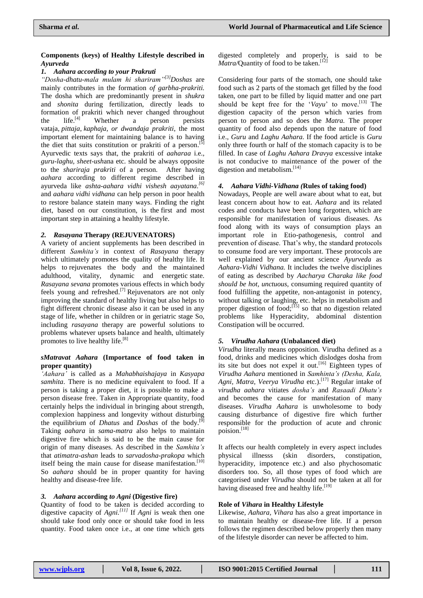#### **Components (keys) of Healthy Lifestyle described in**  *Ayurveda*

### *1. Aahara according to your Prakruti*

*"Dosha-dhatu-mala mulam hi shariram"[3]Doshas* are mainly contributes in the formation *of garbha-prakriti.*  The dosha which are predominantly present in *shukra* and *shonita* during fertilization, directly leads to formation of prakriti which never changed throughout the  $life.$ <sup>[4]</sup> Whether a person persists vataja, *pittaja*, *kaphaja, or dwandaja prakriti*, the most important element for maintaining balance is to having the diet that suits constitution or prakriti of a person.<sup>[5]</sup> Ayurvedic texts says that, the prakriti of *aaharaa* i.e., *guru-laghu, sheet-ush*ana etc. should be always opposite to the *shariraja prakriti* of a person. After having *aahara* according to different regime described in ayurveda like *ashta-aahara vidhi vishesh aayatana. [6]* and *aahara vidhi vidhana* can help person in poor health to restore balance statein many ways. Finding the right diet, based on our constitution, is the first and most important step in attaining a healthy lifestyle.

## *2. Rasayana* **Therapy (REJUVENATORS)**

A variety of ancient supplements has been described in different *Samhita"s* in context of *Rasayana* therapy which ultimately promotes the quality of healthy life. It helps to rejuvenates the body and the maintained adulthood, vitality, dynamic and energetic state. *Rasayana sevana* promotes various effects in which body feels young and refreshed.<sup>[7]</sup> Rejuvenators are not only improving the standard of healthy living but also helps to fight different chronic disease also it can be used in any stage of life, whether in children or in geriatric stage So, including *rasayana* therapy are powerful solutions to problems whatever upsets balance and health, ultimately promotes to live healthy life.<sup>[8]</sup>

### *sMatravat Aahara* **(Importance of food taken in proper quantity)**

*"Aahara"* is called as a *Mahabhaishajaya* in *Kasyapa samhita*. There is no medicine equivalent to food. If a person is taking a proper diet, it is possible to make a person disease free. Taken in Appropriate quantity, food certainly helps the individual in bringing about strength, complexion happiness and longevity without disturbing the equilibrium of *Dhatus* and *Doshas* of the body. [9] Taking *aahara* in *sama-matra* also helps to maintain digestive fire which is said to be the main cause for origin of many diseases. As described in the *Samhita"s* that *atimatra-ashan* leads to *sarvadosha-prakopa* which itself being the main cause for disease manifestation.<sup>[10]</sup> So *aahara* should be in proper quantity for having healthy and disease-free life.

### *3. Aahara* **according** *to Agni* **(Digestive fire)**

Quantity of food to be taken is decided according to digestive capacity of *Agni. [11]* If *Agni* is weak then one should take food only once or should take food in less quantity. Food taken once i.e., at one time which gets

digested completely and properly, is said to be Matra/Quantity of food to be taken.<sup>[12]</sup>

Considering four parts of the stomach, one should take food such as 2 parts of the stomach get filled by the food taken, one part to be filled by liquid matter and one part should be kept free for the "*Vayu*" to move. [13] The digestion capacity of the person which varies from person to person and so does the *Matra.* The proper quantity of food also depends upon the nature of food i.e., *Guru* and *Laghu Aahara.* If the food article is *Guru* only three fourth or half of the stomach capacity is to be filled. In case of *Laghu Aahara Dravya* excessive intake is not conducive to maintenance of the power of the digestion and metabolism.<sup>[14]</sup>

## *4. Aahara Vidhi-Vidhana (***Rules of taking food)**

Nowadays, People are well aware about what to eat, but least concern about how to eat. *Aahara* and its related codes and conducts have been long forgotten, which are responsible for manifestation of various diseases. As food along with its ways of consumption plays an important role in Etio-pathogenesis, control and prevention of disease. That's why, the standard protocols to consume food are very important. These protocols are well explained by our ancient science *Ayurveda* as *Aahara-Vidhi Vidhana.* It includes the twelve disciplines of eating as described by *Aacharya Charaka like food should be hot, unctuous,* consuming required quantity of food fulfilling the appetite, non-antagonist in potency, without talking or laughing, etc. helps in metabolism and proper digestion of food; $\left[\begin{array}{c} 15 \end{array}\right]$  so that no digestion related problems like Hyperacidity, abdominal distention Constipation will be occurred.

# *5. Virudha Aahara* **(Unbalanced diet)**

*Virudha* literally means opposition. Virudha defined as a food, drinks and medicines which dislodges dosha from its site but does not expel it out.<sup>[16]</sup> Eighteen types of *Virudha Aahara* mentioned in *Samhinta"s (Desha, Kala, Agni, Matra, Veerya Virudha* etc.). [17] Regular intake of *virudha aahara* vitiates *dosha"s* and *Rasaadi Dhatu"s* and becomes the cause for manifestation of many diseases. *Virudha Aahara* is unwholesome to body causing disturbance of digestive fire which further responsible for the production of acute and chronic poision. [18]

It affects our health completely in every aspect includes physical illnesss (skin disorders, constipation, hyperacidity, impotence etc.) and also phychosomatic disorders too. So, all those types of food which are categorised under *Virudha* should not be taken at all for having diseased free and healthy life.<sup>[19]</sup>

### **Role of** *Vihara* **in Healthy Lifestyle**

Likewise, *Aahara, Vihara* has also a great importance in to maintain healthy or disease-free life. If a person follows the regimen described below properly then many of the lifestyle disorder can never be affected to him.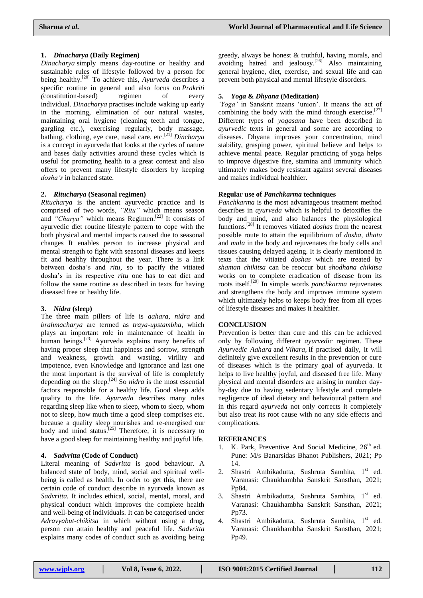# **1.** *Dinacharya* **(Daily Regimen)**

*Dinacharya* simply means day-routine or healthy and sustainable rules of lifestyle followed by a person for being healthy. [20] To achieve this, *Ayurveda* describes a specific routine in general and also focus on *Prakriti (*constitution-based) regimen of every individual. *Dinacharya* practises include waking up early in the morning, elimination of our natural wastes, maintaining oral hygiene (cleaning teeth and tongue, gargling etc.), exercising regularly, body massage, bathing, clothing, eye care, nasal care, etc.[21] *Dincharya* is a concept in ayurveda that looks at the cycles of nature and bases daily activities around these cycles which is useful for promoting health to a great context and also offers to prevent many lifestyle disorders by keeping *dosha"s* in balanced state.

### **2.** *Ritucharya* **(Seasonal regimen)**

*Ritucharya* is the ancient ayurvedic practice and is comprised of two words, *"Ritu"* which means season and *"Charya"* which means Regimen.<sup>[22]</sup> It consists of ayurvedic diet routine lifestyle pattern to cope with the both physical and mental impacts caused due to seasonal changes It enables person to increase physical and mental strength to fight with seasonal diseases and keeps fit and healthy throughout the year. There is a link between dosha"s and *ritu*, so to pacify the vitiated dosha"s in its respective *ritu* one has to eat diet and follow the same routine as described in texts for having diseased free or healthy life.

# **3.** *Nidra* **(sleep)**

The three main pillers of life is *aahara, nidra* and *brahmacharya* are termed as *traya-upstambha,* which plays an important role in maintenance of health in human beings.<sup>[23]</sup> Ayurveda explains many benefits of having proper sleep that happiness and sorrow, strength and weakness, growth and wasting, virility and impotence, even Knowledge and ignorance and last one the most important is the survival of life is completely depending on the sleep. [24] So *nidra* is the most essential factors responsible for a healthy life. Good sleep adds quality to the life. *Ayurveda* describes many rules regarding sleep like when to sleep, whom to sleep, whom not to sleep, how much time a good sleep comprises etc. because a quality sleep nourishes and re-energised our body and mind status.<sup>[25]</sup> Therefore, it is necessary to have a good sleep for maintaining healthy and joyful life.

### **4.** *Sadvritta* **(Code of Conduct)**

Literal meaning of *Sadvritta* is good behaviour*.* A balanced state of body, mind, social and spiritual wellbeing is called as health. In order to get this, there are certain code of conduct describe in ayurveda known as *Sadvritta.* It includes ethical, social, mental, moral, and physical conduct which improves the complete health and well-being of individuals. It can be categorised under *Adravyabut-chikitsa* in which without using a drug, person can attain healthy and peaceful life. *Sadvritta* explains many codes of conduct such as avoiding being

greedy, always be honest & truthful, having morals, and avoiding hatred and jealousy. [26] Also maintaining general hygiene, diet, exercise, and sexual life and can prevent both physical and mental lifestyle disorders.

# **5.** *Yoga* **&** *Dhyana* **(Meditation)**

*"Yoga"* in Sanskrit means "union". It means the act of combining the body with the mind through exercise.<sup>[27]</sup> Different types of *yogasana* have been described in *ayurvedic* texts in general and some are according to diseases. Dhyana improves your concentration, mind stability, grasping power, spiritual believe and helps to achieve mental peace. Regular practicing of yoga helps to improve digestive fire, stamina and immunity which ultimately makes body resistant against several diseases and makes individual healthier.

## **Regular use of** *Panchkarma* **techniques**

*Panchkarma* is the most advantageous treatment method describes in *ayurveda* which is helpful to detoxifies the body and mind, and also balances the physiological functions. [28] It removes vitiated *doshas* from the nearest possible route to attain the equilibrium of *dosha, dhatu* and *mala* in the body and rejuvenates the body cells and tissues causing delayed ageing. It is clearly mentioned in texts that the vitiated *doshas* which are treated by *shaman chikitsa* can be reoccur but *shodhana chikitsa*  works on to complete eradication of disease from its roots itself. [29] In simple words *panchkarma* rejuvenates and strengthens the body and improves immune system which ultimately helps to keeps body free from all types of lifestyle diseases and makes it healthier.

# **CONCLUSION**

Prevention is better than cure and this can be achieved only by following different *ayurvedic* regimen. These *Ayurvedic Aahara* and *Vihara,* if practised daily, it will definitely give excellent results in the prevention or cure of diseases which is the primary goal of ayurveda. It helps to live healthy joyful, and diseased free life. Many physical and mental disorders are arising in number dayby-day due to having sedentary lifestyle and complete negligence of ideal dietary and behavioural pattern and in this regard *ayurveda* not only corrects it completely but also treat its root cause with no any side effects and complications.

### **REFERANCES**

- 1. K. Park, Preventive And Social Medicine,  $26<sup>th</sup>$  ed. Pune: M/s Banarsidas Bhanot Publishers, 2021; Pp 14.
- 2. Shastri Ambikadutta, Sushruta Samhita, 1<sup>st</sup> ed. Varanasi: Chaukhambha Sanskrit Sansthan, 2021; Pp84.
- 3. Shastri Ambikadutta, Sushruta Samhita, 1<sup>st</sup> ed. Varanasi: Chaukhambha Sanskrit Sansthan, 2021; Pp73.
- 4. Shastri Ambikadutta, Sushruta Samhita, 1<sup>st</sup> ed. Varanasi: Chaukhambha Sanskrit Sansthan, 2021; Pp49.